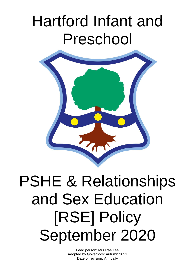# Hartford Infant and Preschool



# PSHE & Relationships and Sex Education [RSE] Policy September 2020

Lead person: Mrs Rae Lee Adopted by Governors: Autumn 2021 Date of revision: Annually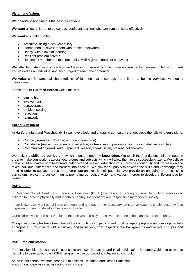# **Vision and Values**

**We believe** in bringing out the best in everyone.

**We want** all our children to be curious, confident learners who can communicate effectively.

**We want** all children to be;

- Articulate, using a rich vocabulary
- Independent, active learners who are self-motivated
- Happy, with a love of learning
- Resilient problem solvers
- Respectful members of the community, with high standards of behaviour

**We offer** high standards of teaching and learning in an enabling, inclusive environment where each child is nurtured and valued as an individual and encouraged to reach their potential.

**We value** six fundamental characteristics of learning that encourage the children to be the very best version of themselves.

These are our **Hartford Heroes** which focus on:

- aiming high
- involvement
- perseverance
- problem solving
- reflection
- teamwork.

# **Curriculum Intent**

At Hartford Infant and Preschool (HIS) we have a bold and engaging curriculum that develops the following **core skills**:

- Curiosity (question, observe, enquire, understand)
- Confidence (resilient, independent, reflective, self-motivated, problem solver, resourceful, self-regulate)
- Communication (read, write, represent, reason, speak, listen, present, collaborate)

We deliver a **skills-led curriculum**, which is underpinned by **knowledge**. We teach the foundations children need in order to make connections across year groups and subjects, which will allow them to be successful citizens. We believe that all children have a right to a broad, balanced and relevant education which provides continuity and progression and takes individual differences and barriers into account. We aim for all pupils to develop the skills and knowledge they need in order to succeed across the curriculum and reach their potential. We provide an engaging and accessible curriculum, relevant to our community, promoting our school vision and values, in order to develop a lifelong love for learning.

# **PSHE Intent**

In Personal, Social, Health and Economic Education (PSHE) we deliver an engaging curriculum which enables our children to become physically and mentally healthy, independent and responsible members of society.

In our lessons we want our children to understand and gather the necessary skills to navigate the challenges they face in growing up and to develop their sense of self-worth.

Our children will be the best version of themselves and play a positive role in the school and wider community.

Our guiding principles have been that all the compulsory subject content must be age appropriate and developmentally appropriate. It must be taught sensitively and inclusively, with respect to the backgrounds and beliefs of pupils and parents.

# **PSHE Implementation**

The Relationships Education, Relationships and Sex Education and Health Education Statutory Guidance allows us flexibility to develop our own PSHE program within our broad and balanced curriculum.

Hartford Infant School PSHE and RSE Policy November 2020 As an infant school, we must teach Relationships Education and Health Education.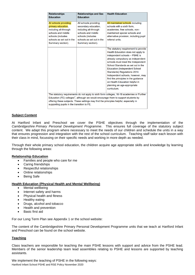| <b>Relationships</b><br><b>Education</b>                                                                                                                                                                                                                                                                                             | <b>Relationships and Sex</b><br><b>Education</b>                                                                                                                    | <b>Health Education</b>                                                                                                                                                                                                                                                                                                                                                                                                                                         |  |  |  |  |  |
|--------------------------------------------------------------------------------------------------------------------------------------------------------------------------------------------------------------------------------------------------------------------------------------------------------------------------------------|---------------------------------------------------------------------------------------------------------------------------------------------------------------------|-----------------------------------------------------------------------------------------------------------------------------------------------------------------------------------------------------------------------------------------------------------------------------------------------------------------------------------------------------------------------------------------------------------------------------------------------------------------|--|--|--|--|--|
| All schools providing<br>primary education,<br>including all-through<br>schools and middle<br>schools (includes<br>schools as set out in the<br>Summary section).                                                                                                                                                                    | All schools providing<br>secondary education,<br>including all-through<br>schools and middle<br>schools (includes<br>schools as set out in the<br>Summary section). | All maintained schools including<br>schools with a sixth form.<br>academies, free schools, non-<br>maintained special schools and<br>alternative provision, including pupil<br>referral units.                                                                                                                                                                                                                                                                  |  |  |  |  |  |
|                                                                                                                                                                                                                                                                                                                                      |                                                                                                                                                                     | The statutory requirement to provide<br>Health Education does not apply to<br>independent schools - PSHE is<br>already compulsory as independent<br>schools must meet the Independent<br>School Standards as set out in the<br><b>Education (Independent School</b><br>Standards) Regulations 2014.<br>Independent schools, however, may<br>find the principles in the guidance<br>on Health Education helpful in<br>planning an age-appropriate<br>curriculum. |  |  |  |  |  |
| The statutory requirements do not apply to sixth form colleges, 16-19 academies or Further<br>Education (FE) colleges <sup>7</sup> , although we would encourage them to support students by<br>offering these subjects. These settings may find the principles helpful, especially in<br>supporting pupils in the transition to FE. |                                                                                                                                                                     |                                                                                                                                                                                                                                                                                                                                                                                                                                                                 |  |  |  |  |  |

# **Subject Content**

At Hartford Infant and Preschool we cover the PSHE objectives through the implementation of the *Cambridgeshire Primary Personal Development Programme*. This ensures full coverage of the statutory subject content. We adapt this program where necessary to meet the needs of our children and schedule the units in a way that ensures progression and integration with the rest of the school curriculum. Teaching staff tailor each lesson with their class in mind, focussing on their specific needs and working in more depth as needed.

Through their whole primary school education, the children acquire age appropriate skills and knowledge by learning through the following areas:

#### **Relationship Education**

- Families and people who care for me
- Caring friendships
- Respectful relationships
- Online relationships
- Being Safe

#### **Health Education (Physical Health and Mental Wellbeing)**

- Mental wellbeing
- Internet safety and harms
- Physical health and fitness
- Healthy eating
- Drugs, alcohol and tobacco
- Health and prevention
- Basic first aid

For our Long Term Plan see Appendix 1 or the school website:

The content of the Cambridgeshire Primary Personal Development Programme units that we teach at Hartford Infant and Preschool can be found on the school website.

#### **Teaching**

Class teachers are responsible for teaching the main PSHE lessons with support and advice from the PSHE lead. Members of the senior leadership team lead assemblies relating to PSHE and lessons are supported by teaching assistants.

Hartford Infant School PSHE and RSE Policy November 2020 We implement the teaching of PSHE in the following ways: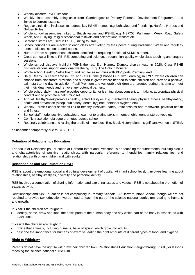- Weekly discrete PSHE lessons.
- Weekly class assembly using units from 'Cambridgeshire Primary Personal Development Programme' and linked to current lessons.
- Regular circle time in classes to address key PSHE themes, e.g. behaviour and friendship, Hartford Heroes and Golden Rules.
- Whole school assemblies linked to British values and PSHE, e.g. NSPCC, Parliament Week, Road Safety Week, Anti Bullying, religious/seasonal festivals and celebrations, visitors etc.
- Sentence stems are used in PSHE, linking to Oracy.
- School councillors are elected in each class after voting by their peers during Parliament Week and regularly meet to discuss school-based issues.
- Nurture Room supports those children identified as requiring additional SEMH support.
- Cross curricular links to PE, RE, computing and science, through high-quality whole class teaching and enquiry sessions.
- Whole school displays highlight PSHE themes. E.g. Humpty Dumpty display Autumn 2020. Class PSHE displays/stations support emotional wellbeing. E.g. The Colour Monster.
- Whole school Healthy Selfie board and regular assemblies with PE/Sports Premium lead.
- Daily 'Ready To Learn' time in KS1 and COOL time (Choose Our Own Learning) in EYFS where children can choose from classroom provision and support is given where needed to settle children and provide a positive, calm start to the day. In addition, Pupil Premium and vulnerable children are targeted during this time to meet their individual needs and remove any potential barriers.
- Whole school daily massage\* provides opportunity for learning about consent, turn taking, appropriate physical contact and to promote a calm mindset.
- Annual Healthy Week promotes healthy, active lifestyles. E.g. mental well being, physical fitness, healthy eating, health and prevention (sleep, sun safety, dental hygiene, personal hygiene etc).
- Weekly Forest School sessions link to healthy lifestyles, safety, relationships and teamwork, physical health and fitness.
- School staff model positive behaviours, e.g. not tolerating sexism, homophobia, gender stereotypes etc.
- Conflict resolution dialogue promoted across school.
- Routinely celebrating and raising the profile of minorities. E.g. Black History Month, significant women in STEM.

\* Suspended temporarily due to COVID-19

# **Definition of Relationships Education**

The focus of Relationships Education at Hartford Infant and Preschool is on teaching the fundamental building blocks and characteristics of positive relationships, with particular reference to friendships, family relationships, and relationships with other children and with adults.

# **Relationships and Sex Education (RSE)**

RSE is about the emotional, social and cultural development of pupils. At infant school level, it involves learning about relationships, healthy lifestyles, diversity and personal identity.

RSE involves a combination of sharing information and exploring issues and values. RSE is not about the promotion of sexual activity.

Relationships and Sex Education is not compulsory in Primary Schools. At Hartford Infant School, though we are not required to provide sex education, we do need to teach the part of the science national curriculum relating to humans and growth:

In **Year 1** the children are taught to:

• identify, name, draw and label the basic parts of the human body and say which part of the body is associated with each sense

In **Year 2** the children are taught to:

- notice that animals, including humans, have offspring which grow into adults
- describe the importance for humans of exercise, eating the right amounts of different types of food, and hygiene

# **Right to Withdraw**

Parents do not have the right to withdraw their children from Relationships Education (taught through PSHE) or lessons teaching the science national curriculum.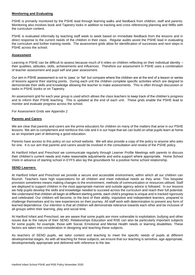# **Monitoring and Evaluating**

PSHE is primarily monitored by the PSHE lead through learning walks and feedback from children, staff and parents. Monitoring also involves book and Tapestry looks in addition to tracking and cross referencing planning and IWBs with the curriculum content.

PSHE is evaluated informally by teaching staff week to week based on immediate feedback from the lessons and in direct response to the current needs of the children in their class. Regular audits assist the PSHE lead in evaluating the curriculum and further training needs. The assessment grids allow for identification of successes and next steps in PSHE across the school.

#### **Assessment**

Learning in PSHE can be difficult to assess because much of it relies on children reflecting on their individual identity their qualities, attitudes, skills, achievements and influences. Therefore our assessment in PSHE uses a combination of teacher assessment and pupil self and peer assessment.

Our aim in PSHE assessment is not to 'pass' or 'fail' but compare where the children are at the end of a lesson or series of lessons against their starting points. During each unit the children complete specific activities which are deigned to demonstrate their skills and knowledge allowing the teacher to make assessments. This is often through discussion or tasks in PSHE books or on Tapestry.

An assessment grid for each year group is used which allows the class teachers to keep track of the children's progress and to inform their PSHE teaching. This is updated at the end of each unit. These grids enable the PSHE lead to monitor and evaluate progress across the school.

For Assessment Grids see Appendix 2

#### **Parents and Carers**

We are clear that parents and carers are the prime educators for children on many of the matters that arise in our PSHE lessons. We aim to complement and reinforce this role and it is our hope that we can build on what pupils learn at home as an important part of delivering a good education.

Parents have access to this policy on our school website. We will also provide a copy of the policy to anyone who asks for one. It is our aim that parents and carers would be involved in the consultation and review of the PSHE policy.

At Hartford Infant and Preschool we communicate regularly through Learner Profile Meetings with parents to discuss their children's current needs and make reasonable adjustments and extra support where appropriate. Home School Visits in advance of starting school in EYFS also lay the groundwork for a positive home school relationship.

#### **SEND Learners**

At Hartford Infant and Preschool we provide a secure and accessible environment, within which all our children can flourish. Teachers have high expectations for all children and meet individual needs as they arise. This bespoke provision sometimes means making changes to the environment, methods of communication or resources utilised. Staff are deployed to support children in the most appropriate manner and outside agency advice is followed. In our lessons we help pupils develop the skills and knowledge needed to succeed across the curriculum and reach their full potential. We understand that children all begin at different starting points, each child's progress is unique and is tracked rigorously and celebrated. Our children will become, to the best of their ability, inquisitive and independent learners, prepared to challenge themselves and try new experiences on their journey. All staff work with determination to prevent any form of learned dependence. Our intention is that all children will demonstrate tolerance towards each other and be inclusive of all groups within their learning, play and social time.

At Hartford Infant and Preschool, we are aware that some pupils are more vulnerable to exploitation, bullying and other issues due to the nature of their SEND. Relationships Education and RSE can also be particularly important subjects for some pupils; for example, those with Social, Emotional and Mental Health needs or learning disabilities. These factors are taken into consideration in designing and teaching these subjects.

As teachers of SEND pupils, we tailor content and teaching to meet the specific needs of pupils at different developmental stages. As with all teaching for these subjects, we ensure that our teaching is sensitive, age-appropriate, developmentally appropriate and delivered with reference to the law.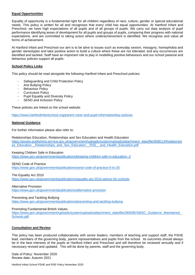# **Equal Opportunities**

Equality of opportunity is a fundamental right for all children regardless of race, culture, gender or special educational needs. This policy is written for all and recognises that every child has equal opportunities. At Hartford Infant and Preschool, we have high expectations of all pupils and of all groups of pupils. We carry out data analysis of pupil performance identifying areas of development for all pupils and groups of pupils, comparing their progress with national expectations, and are committed to taking action where underachievement is identified. We recognise and value all forms of achievement.

At Hartford Infant and Preschool our aim is to be alive to issues such as everyday sexism, misogyny, homophobia and gender stereotypes and take positive action to build a culture where these are not tolerated, and any occurrences are identified and tackled. Staff have an important role to play in modelling positive behaviours and our school pastoral and behaviour policies support all pupils.

# **School Policy Links**

This policy should be read alongside the following Hartford Infant and Preschool policies:

- Safeguarding and Child Protection Policy
- Anti Bullying Policy
- Behaviour Policy
- Curriculum Policy
- Pupil Equality and Diversity Policy
- SEND and Inclusion Policy

These policies are linked on the school website:

<https://www.hartfordinfantschool.org/parent-carer-and-pupil-information/key-policies>

#### **National Guidance**

For further information please also refer to:

Relationships Education, Relationships and Sex Education and Health Education

[https://assets.publishing.service.gov.uk/government/uploads/system/uploads/attachment\\_data/file/908013/Relationshi](https://assets.publishing.service.gov.uk/government/uploads/system/uploads/attachment_data/file/908013/Relationships_Education__Relationships_and_Sex_Education__RSE__and_Health_Education.pdf) ps\_Education\_Relationships\_and\_Sex\_Education\_RSE\_\_and\_Health\_Education.pdf

#### Keeping Children Safe in Education

<https://www.gov.uk/government/publications/keeping-children-safe-in-education--2>

#### SEND Code of Practice

<https://www.gov.uk/government/publications/send-code-of-practice-0-to-25>

#### The Equality Act 2010

<https://www.gov.uk/government/publications/equality-act-2010-advice-for-schools>

#### Alternative Provision

<https://www.gov.uk/government/publications/alternative-provision>

#### Preventing and Tackling Bullying

<https://www.gov.uk/government/publications/preventing-and-tackling-bullying>

#### Promoting Fundamental British Values

https://www.gov.uk/government/uploads/system/uploads/attachment\_data/file/380595/SMSC\_Guidance\_Maintained [Schools.pdf](https://www.gov.uk/government/uploads/system/uploads/attachment_data/file/380595/SMSC_Guidance_Maintained_Schools.pdf)

# **Consultation and Review**

This policy has been produced collaboratively with senior leaders, members of teaching and support staff, the PSHE lead, members of the governing body, parent representatives and pupils from the school. Its outcomes should always be in the best interests of the pupils at Hartford Infant and Preschool and will therefore be reviewed annually and if necessary revised and updated. This will be done by parents, staff and the governing body.

Date of Policy: November 2020 Review date: Autumn 2021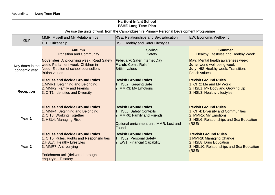# Appendix 1 **Long Term Plan**

| <b>Hartford Infant School</b><br><b>PSHE Long Term Plan</b>                             |                                                                                                                                                                                                           |                                                                                                                                            |                                                                                                                                                |  |  |  |  |  |
|-----------------------------------------------------------------------------------------|-----------------------------------------------------------------------------------------------------------------------------------------------------------------------------------------------------------|--------------------------------------------------------------------------------------------------------------------------------------------|------------------------------------------------------------------------------------------------------------------------------------------------|--|--|--|--|--|
| We use the units of work from the Cambridgeshire Primary Personal Development Programme |                                                                                                                                                                                                           |                                                                                                                                            |                                                                                                                                                |  |  |  |  |  |
| <b>KEY</b>                                                                              | MMR: Myself and My Relationships                                                                                                                                                                          | <b>RSE: Relationships and Sex Education</b>                                                                                                | <b>EW: Economic Wellbeing</b>                                                                                                                  |  |  |  |  |  |
|                                                                                         | CIT: Citizenship                                                                                                                                                                                          | <b>HSL: Healthy and Safer Lifestyles</b>                                                                                                   |                                                                                                                                                |  |  |  |  |  |
|                                                                                         | <b>Autumn</b><br><b>Transition and Community</b>                                                                                                                                                          | <b>Spring</b><br>Safety                                                                                                                    | <b>Summer</b><br><b>Healthy Lifestyles and Healthy Week</b>                                                                                    |  |  |  |  |  |
| Key dates in the<br>academic year                                                       | <b>November: Anti-bullying week, Road Safety</b><br>week, Parliament week, Children in<br><b>Need, Election of school counsellors</b><br><b>British values</b>                                            | February: Safer Internet Day<br><b>March: Comic Relief</b><br><b>British values</b>                                                        | May: Mental health awareness week<br><b>June: world well-being week</b><br><b>July: HIS Healthy week, Transition,</b><br><b>British values</b> |  |  |  |  |  |
| <b>Reception</b>                                                                        | <b>Discuss and decide Ground Rules</b><br>1.MMR1: Beginning and Belonging<br>2. MMR2: Family and Friends<br>3. CIT1: Identities and Diversity                                                             | <b>Revisit Ground Rules</b><br>1. HSL2: Keeping Safe<br>2. MMR3: My Emotions                                                               | <b>Revisit Ground Rules</b><br>1. CIT2: Me and My World<br>2. HSL1: My Body and Growing Up<br>3. HSL3: Healthy Lifestyles                      |  |  |  |  |  |
| Year 1                                                                                  | <b>Discuss and decide Ground Rules</b><br>1. MMR4: Beginning and Belonging<br>2. CIT3: Working Together<br>3. HSL4: Managing Risk                                                                         | <b>Revisit Ground Rules</b><br>1. HSL5: Safety Contexts<br>2. MMR6: Family and Friends<br>Optional enrichment unit: MMR: Lost and<br>Found | <b>Revisit Ground Rules</b><br>1. CIT4: Diversity and Communities<br>2. MMR5: My Emotions<br>3. HSL6: Relationships and Sex Education<br>(RSE) |  |  |  |  |  |
| Year 2                                                                                  | <b>Discuss and decide Ground Rules</b><br>1. CIT5: Rules, Rights and Responsibilities<br>2.HSL7: Healthy Lifestyles<br>3. MMR7: Anti-bullying<br>Enrichment unit (delivered through<br>enquiry): E-safety | <b>Revisit Ground Rules</b><br>1. HSL9: Personal Safety<br>2. EW1: Financial Capability                                                    | <b>Revisit Ground Rules</b><br>1.MMR8: Managing Change<br>2. HSL8: Drug Education<br>3. HSL10: Relationships and Sex Education<br>(RSE)        |  |  |  |  |  |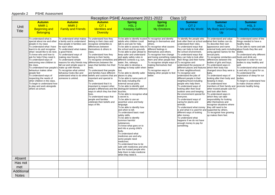# Appendix 2 PSHE Assessment

| Class 1/2<br>Reception PSHE Assessment 2021-2022 |                                                                                                                                                                                                                                                                                                                                                                                                                                                                                                                                                                       |                                                                                                                                                                                                                                                                                                                                                                                                          |                                                                                                                                                                                                                                                                                                                                                                                                                                                                                                                                                                                                                                                                                            |                                                                                                                                                                                                                                                                                                                                                                                                                                                                                                                                                                                                                                                                                                                                                                                                                                                                                                                                                                                                                                                                                                                                                                                                        |                                                                                                                                                                                                                                                                                                                                                                      |                                                                                                                                                                                                                                                                                                                                                                                                                                                                                                                                                                                                                                                                                                                                                                                                                                                                                                                                       |                                                                                                                                                                                                                                                                                                                                                                                                                                                                                                                                                                                                                                                                                                                                                      |                                                                                                                                                                                                                                                                                                                                                                                                                                                                |  |
|--------------------------------------------------|-----------------------------------------------------------------------------------------------------------------------------------------------------------------------------------------------------------------------------------------------------------------------------------------------------------------------------------------------------------------------------------------------------------------------------------------------------------------------------------------------------------------------------------------------------------------------|----------------------------------------------------------------------------------------------------------------------------------------------------------------------------------------------------------------------------------------------------------------------------------------------------------------------------------------------------------------------------------------------------------|--------------------------------------------------------------------------------------------------------------------------------------------------------------------------------------------------------------------------------------------------------------------------------------------------------------------------------------------------------------------------------------------------------------------------------------------------------------------------------------------------------------------------------------------------------------------------------------------------------------------------------------------------------------------------------------------|--------------------------------------------------------------------------------------------------------------------------------------------------------------------------------------------------------------------------------------------------------------------------------------------------------------------------------------------------------------------------------------------------------------------------------------------------------------------------------------------------------------------------------------------------------------------------------------------------------------------------------------------------------------------------------------------------------------------------------------------------------------------------------------------------------------------------------------------------------------------------------------------------------------------------------------------------------------------------------------------------------------------------------------------------------------------------------------------------------------------------------------------------------------------------------------------------------|----------------------------------------------------------------------------------------------------------------------------------------------------------------------------------------------------------------------------------------------------------------------------------------------------------------------------------------------------------------------|---------------------------------------------------------------------------------------------------------------------------------------------------------------------------------------------------------------------------------------------------------------------------------------------------------------------------------------------------------------------------------------------------------------------------------------------------------------------------------------------------------------------------------------------------------------------------------------------------------------------------------------------------------------------------------------------------------------------------------------------------------------------------------------------------------------------------------------------------------------------------------------------------------------------------------------|------------------------------------------------------------------------------------------------------------------------------------------------------------------------------------------------------------------------------------------------------------------------------------------------------------------------------------------------------------------------------------------------------------------------------------------------------------------------------------------------------------------------------------------------------------------------------------------------------------------------------------------------------------------------------------------------------------------------------------------------------|----------------------------------------------------------------------------------------------------------------------------------------------------------------------------------------------------------------------------------------------------------------------------------------------------------------------------------------------------------------------------------------------------------------------------------------------------------------|--|
| Unit<br><b>Title</b>                             | <b>Autumn</b><br>MMR <sub>1</sub><br><b>Beginning and</b><br><b>Belonging</b>                                                                                                                                                                                                                                                                                                                                                                                                                                                                                         | <b>Autumn</b><br>MMR <sub>2</sub><br><b>Family and Friends</b>                                                                                                                                                                                                                                                                                                                                           | <b>Autumn</b><br>CIT <sub>1</sub><br><b>Identities and</b><br><b>Diversity</b>                                                                                                                                                                                                                                                                                                                                                                                                                                                                                                                                                                                                             | <b>Spring</b><br>HSL <sub>2</sub><br><b>Keeping Safe</b>                                                                                                                                                                                                                                                                                                                                                                                                                                                                                                                                                                                                                                                                                                                                                                                                                                                                                                                                                                                                                                                                                                                                               | <b>Spring</b><br>MMR <sub>3</sub><br><b>My Emotions</b>                                                                                                                                                                                                                                                                                                              | <b>Summer</b><br>CIT <sub>2</sub><br>Me and My World                                                                                                                                                                                                                                                                                                                                                                                                                                                                                                                                                                                                                                                                                                                                                                                                                                                                                  | <b>Summer</b><br>HSL <sub>1</sub><br>My Body and Growing<br>U <sub>p</sub>                                                                                                                                                                                                                                                                                                                                                                                                                                                                                                                                                                                                                                                                           | <b>Summer</b><br>HSL <sub>3</sub><br><b>Healthy Lifestyles</b>                                                                                                                                                                                                                                                                                                                                                                                                 |  |
| Absent                                           | To understand what is<br>special about me and other<br>people in my class<br>To understand what I have<br>learnt to do and recognise<br>what I would like to do next.<br>To know who and how to<br>ask for help if they need it.<br>To understand ways of<br>welcoming new children to<br>the class.<br>To understand how people's make up with friends.<br>behaviour makes other<br>people feel<br>To understand ways of<br>respecting the needs of<br>other children in the class.<br>To begin to understand how<br>to play and work alongside<br>others at school. | To understand what makes<br>a family and to understand<br>how people in families care<br>for each other.<br>To understand what makes<br>a good friend.<br>To understand ways of<br>making new friends.<br>To understand simple<br>reasons for why friends may<br>fall out and simple ways to<br>To recognise what unkind<br>behaviour looks like and<br>understand what to do when<br>someone is unkind. | To understand how they<br>belong to their class and<br>recognise similarities &<br>differences between<br>themselves & others in<br>class.<br>To understand how they<br>belong to their family.<br>To recognise similarities and different contexts e.g. sun,<br>differences between the<br>ways that families live their<br>ives.<br>To understand that people<br>and families have different<br>beliefs and customs that are places to play.<br>important and special to<br>them.<br>To understand that it is<br>important to respect other<br>ways in which they live their<br>lives.<br>To understand ways that<br>people and families<br>celebrate their beliefs and<br>ways of life. | To be able to identify trusted To recognise and identify<br>adults who children could<br>talk to and ask for help.<br>To be able to assess risks in To recognise what causes<br>the school and its grounds.<br>To be able to plan ahead to<br>keep safer and understand<br>and apply safety rules in<br>water, fire, railways.<br>To be able to develop a<br>strategy to keep safer when<br>lost.<br>To be able to identify safer<br>To be able to name parts of<br>the body including the<br>external sexual parts.<br>To be able to identify and<br>people's differences and the distinguish between different<br>touches.<br>To be able to recognise what<br>a secret is.<br>To be able to use an<br>assertive voice and body<br>language.<br>To be able to identify how<br>and when to tell.<br>To understand basic road<br>safety skills.<br>To be able to identify<br>common harmful<br>substances.<br>To know what goes on to<br>and into a young child's<br>body.<br>To understand what<br>medicines are and why<br>some people need<br>medicines.<br>To understand how to be<br>safe with medicines and who<br>are the trusted people who<br>help them to take medicine<br>when they need it. | feelings in themselves and<br>others.<br>different feelings in<br>themselves and others.<br>To recognise how change<br>and losing something makes they can help to look after<br>them and other people feel.<br>To recognise simple ways of To recognise and<br>making themselves feel<br>better.<br>To recognise ways of<br>helping other people to feel<br>better. | To identify the people who<br>look after them at school and what their bodies can do.<br>understand their roles.<br>To understand ways that<br>they can help to look after<br>the school environment.<br>To understand ways that<br>their things and their home.<br>understand the purpose of<br>different places and features which their body has<br>in their neighbourhood.<br>To recognise and<br>understand the jobs of<br>different people in their<br>neighbourhood including<br>people who help them.<br>To understand ways of<br>looking after their local<br>outdoor area and keeping<br>the environment special for<br>everyone.<br>To understand ways of<br>caring for plants and<br>animals.<br>To understand what money<br>is and what it is used for and supported by others.<br>different ways of looking<br>after money.<br>To understand what<br>happens if we do not have<br>enough money to pay for<br>something. | To understand and value<br>To describe their own<br>appearance and name<br>external body parts including about foods they like and<br>using agreed names for the<br>sexual parts.<br>To recognise similarities and<br>differences between the<br>bodies of girls and boys.<br>To understand ways in<br>changed since they were a<br>baby.<br>To understand ways of<br>looking after their body and<br>keeping it clean.<br>To understand how<br>members of their family and<br>other trusted people care for<br>and look after them.<br>To understand ways in<br>which they can take<br>responsibility for looking<br>after themselves and<br>recognise situations where<br>they still need to be<br>To recognise how growing<br>up makes them feel. | To understand some of the<br>things needed to have a<br>healthy body.<br>To be able to name and talk<br>dislike.<br>To understand why different<br>I foods and drink are<br>important in order for our<br>bodies to stay healthy and<br>well.<br>To understand what exercise<br>is and why it is good for us.<br>To understand the<br>importance of sleep for our<br>bodies.<br>To begin to understand how<br>to make choices which<br>promote healthy living. |  |
| Has not                                          |                                                                                                                                                                                                                                                                                                                                                                                                                                                                                                                                                                       |                                                                                                                                                                                                                                                                                                                                                                                                          |                                                                                                                                                                                                                                                                                                                                                                                                                                                                                                                                                                                                                                                                                            |                                                                                                                                                                                                                                                                                                                                                                                                                                                                                                                                                                                                                                                                                                                                                                                                                                                                                                                                                                                                                                                                                                                                                                                                        |                                                                                                                                                                                                                                                                                                                                                                      |                                                                                                                                                                                                                                                                                                                                                                                                                                                                                                                                                                                                                                                                                                                                                                                                                                                                                                                                       |                                                                                                                                                                                                                                                                                                                                                                                                                                                                                                                                                                                                                                                                                                                                                      |                                                                                                                                                                                                                                                                                                                                                                                                                                                                |  |
| met                                              |                                                                                                                                                                                                                                                                                                                                                                                                                                                                                                                                                                       |                                                                                                                                                                                                                                                                                                                                                                                                          |                                                                                                                                                                                                                                                                                                                                                                                                                                                                                                                                                                                                                                                                                            |                                                                                                                                                                                                                                                                                                                                                                                                                                                                                                                                                                                                                                                                                                                                                                                                                                                                                                                                                                                                                                                                                                                                                                                                        |                                                                                                                                                                                                                                                                                                                                                                      |                                                                                                                                                                                                                                                                                                                                                                                                                                                                                                                                                                                                                                                                                                                                                                                                                                                                                                                                       |                                                                                                                                                                                                                                                                                                                                                                                                                                                                                                                                                                                                                                                                                                                                                      |                                                                                                                                                                                                                                                                                                                                                                                                                                                                |  |
| <b>Additional</b><br><b>Notes</b>                |                                                                                                                                                                                                                                                                                                                                                                                                                                                                                                                                                                       |                                                                                                                                                                                                                                                                                                                                                                                                          |                                                                                                                                                                                                                                                                                                                                                                                                                                                                                                                                                                                                                                                                                            |                                                                                                                                                                                                                                                                                                                                                                                                                                                                                                                                                                                                                                                                                                                                                                                                                                                                                                                                                                                                                                                                                                                                                                                                        |                                                                                                                                                                                                                                                                                                                                                                      |                                                                                                                                                                                                                                                                                                                                                                                                                                                                                                                                                                                                                                                                                                                                                                                                                                                                                                                                       |                                                                                                                                                                                                                                                                                                                                                                                                                                                                                                                                                                                                                                                                                                                                                      |                                                                                                                                                                                                                                                                                                                                                                                                                                                                |  |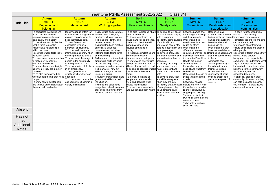| Year One PSHE Assessment 2021-2022<br>Class 3/4 |                                                                                                                                                                                                                                                                                                                                                                                                                                                                                                                                                                                                                                                                                   |                                                                                                                                                                                                                                                                                                                                                                                                                                                                                                                                             |                                                                                                                                                                                                                                                                                                                                                                                                                                                                                                                                                                                                                                                                                                                                        |                                                                                                                                                                                                                                                                                                                                                                                                                                                                                                                                                                                                                                                                                                              |                                                                                                                                                                                                                                                                                                                                                                                                                                                                                                                                                                               |                                                                                                                                                                                                                                                                                                                                                                                                                                                                                                                                                                                                                       |                                                                                                                                                                                                                                                                                                                                                                                                     |                                                                                                                                                                                                                                                                                                                                                                                                                                                                                                                                                                                                                                                                                                                             |
|-------------------------------------------------|-----------------------------------------------------------------------------------------------------------------------------------------------------------------------------------------------------------------------------------------------------------------------------------------------------------------------------------------------------------------------------------------------------------------------------------------------------------------------------------------------------------------------------------------------------------------------------------------------------------------------------------------------------------------------------------|---------------------------------------------------------------------------------------------------------------------------------------------------------------------------------------------------------------------------------------------------------------------------------------------------------------------------------------------------------------------------------------------------------------------------------------------------------------------------------------------------------------------------------------------|----------------------------------------------------------------------------------------------------------------------------------------------------------------------------------------------------------------------------------------------------------------------------------------------------------------------------------------------------------------------------------------------------------------------------------------------------------------------------------------------------------------------------------------------------------------------------------------------------------------------------------------------------------------------------------------------------------------------------------------|--------------------------------------------------------------------------------------------------------------------------------------------------------------------------------------------------------------------------------------------------------------------------------------------------------------------------------------------------------------------------------------------------------------------------------------------------------------------------------------------------------------------------------------------------------------------------------------------------------------------------------------------------------------------------------------------------------------|-------------------------------------------------------------------------------------------------------------------------------------------------------------------------------------------------------------------------------------------------------------------------------------------------------------------------------------------------------------------------------------------------------------------------------------------------------------------------------------------------------------------------------------------------------------------------------|-----------------------------------------------------------------------------------------------------------------------------------------------------------------------------------------------------------------------------------------------------------------------------------------------------------------------------------------------------------------------------------------------------------------------------------------------------------------------------------------------------------------------------------------------------------------------------------------------------------------------|-----------------------------------------------------------------------------------------------------------------------------------------------------------------------------------------------------------------------------------------------------------------------------------------------------------------------------------------------------------------------------------------------------|-----------------------------------------------------------------------------------------------------------------------------------------------------------------------------------------------------------------------------------------------------------------------------------------------------------------------------------------------------------------------------------------------------------------------------------------------------------------------------------------------------------------------------------------------------------------------------------------------------------------------------------------------------------------------------------------------------------------------------|
|                                                 | <b>Autumn</b>                                                                                                                                                                                                                                                                                                                                                                                                                                                                                                                                                                                                                                                                     | <b>Autumn</b>                                                                                                                                                                                                                                                                                                                                                                                                                                                                                                                               | <b>Autumn</b>                                                                                                                                                                                                                                                                                                                                                                                                                                                                                                                                                                                                                                                                                                                          | <b>Spring</b>                                                                                                                                                                                                                                                                                                                                                                                                                                                                                                                                                                                                                                                                                                | <b>Spring</b>                                                                                                                                                                                                                                                                                                                                                                                                                                                                                                                                                                 | <b>Summer</b>                                                                                                                                                                                                                                                                                                                                                                                                                                                                                                                                                                                                         | <b>Summer</b>                                                                                                                                                                                                                                                                                                                                                                                       | <b>Summer</b>                                                                                                                                                                                                                                                                                                                                                                                                                                                                                                                                                                                                                                                                                                               |
| <b>Unit Title</b>                               | MMR <sub>4</sub>                                                                                                                                                                                                                                                                                                                                                                                                                                                                                                                                                                                                                                                                  | HSL <sub>4</sub>                                                                                                                                                                                                                                                                                                                                                                                                                                                                                                                            | CIT <sub>3</sub>                                                                                                                                                                                                                                                                                                                                                                                                                                                                                                                                                                                                                                                                                                                       | MMR <sub>6</sub>                                                                                                                                                                                                                                                                                                                                                                                                                                                                                                                                                                                                                                                                                             | HSL <sub>5</sub>                                                                                                                                                                                                                                                                                                                                                                                                                                                                                                                                                              | MMR <sub>5</sub>                                                                                                                                                                                                                                                                                                                                                                                                                                                                                                                                                                                                      | HSL <sub>6</sub>                                                                                                                                                                                                                                                                                                                                                                                    | CIT <sub>4</sub>                                                                                                                                                                                                                                                                                                                                                                                                                                                                                                                                                                                                                                                                                                            |
|                                                 | <b>Beginning and</b>                                                                                                                                                                                                                                                                                                                                                                                                                                                                                                                                                                                                                                                              | <b>Managing risk</b>                                                                                                                                                                                                                                                                                                                                                                                                                                                                                                                        | <b>Working together</b>                                                                                                                                                                                                                                                                                                                                                                                                                                                                                                                                                                                                                                                                                                                | Family and friends                                                                                                                                                                                                                                                                                                                                                                                                                                                                                                                                                                                                                                                                                           | <b>Safety context</b>                                                                                                                                                                                                                                                                                                                                                                                                                                                                                                                                                         | My emotions                                                                                                                                                                                                                                                                                                                                                                                                                                                                                                                                                                                                           | Relationships and                                                                                                                                                                                                                                                                                                                                                                                   | <b>Diversity and</b>                                                                                                                                                                                                                                                                                                                                                                                                                                                                                                                                                                                                                                                                                                        |
|                                                 | belonging                                                                                                                                                                                                                                                                                                                                                                                                                                                                                                                                                                                                                                                                         |                                                                                                                                                                                                                                                                                                                                                                                                                                                                                                                                             |                                                                                                                                                                                                                                                                                                                                                                                                                                                                                                                                                                                                                                                                                                                                        |                                                                                                                                                                                                                                                                                                                                                                                                                                                                                                                                                                                                                                                                                                              |                                                                                                                                                                                                                                                                                                                                                                                                                                                                                                                                                                               |                                                                                                                                                                                                                                                                                                                                                                                                                                                                                                                                                                                                                       | sex education                                                                                                                                                                                                                                                                                                                                                                                       | communities                                                                                                                                                                                                                                                                                                                                                                                                                                                                                                                                                                                                                                                                                                                 |
|                                                 | To participate in discussions<br>about how to make the<br>classroom a place they can<br>learn safely and happily.<br>To participate in activities that<br>enable them to develop<br>collaborative relationships<br>within the class.<br>Recognise what it feels like to<br>be new in school.<br>To have some ideas about how To understand the range of<br>to make new people feel<br>welcome in the class.<br>To know who and what might<br>help them if they are in a new<br>situation.<br>To be able to identify adults<br>who can help them if they need offer help.<br>support.<br>To know how to ask for help<br>land to have some ideas about<br>they can help each other. | Identify a range of familiar<br>situations which might entail<br>risk and consider ways to<br>keep themselves safe.<br>To identify emotions<br>associated with risky<br>behaviour or situations.<br>To know basic personal<br>information and know when<br>they might need to give it.<br>people in the community<br>who help keep us safer.<br>To know how to ask for help<br>in an emergency.<br>To recognise familiar<br>situations where they can<br>To know how to reduce risk<br>and keep myself safer in a<br>variety of situations. | To recognise and celebrate<br>some of their strengths,<br>emotions, gifts and talents.<br>To be able to identify and<br>develop a new skill.<br>To understand and practise<br>some skills of a good<br>communicator, including<br>listening skills, taking turns<br>and explaining.<br>To know and practise effective themselves and their peers.<br>group work skills, including<br>discussion, negotiation,<br>compromise and cooperation.<br>To be aware of how my<br>skills an strengths can be<br>useful in a group.<br>To apply communication and<br>group work skills in a real<br>life situation.<br>To be able to state some<br>things they did well in a group<br>task and some things they<br>would be better at next time. | To be able to describe what allo be able to talk about<br>friend is and does.<br>To develop strategies for<br>making and keeping friends.<br>Understand that friendship<br>patterns changed and<br>develop strategies for<br>coping.<br>To recognise similarities and<br>differences between<br>To understand why families<br>are special and that there are To identify the dangers of when they need it.<br>different family patterns and<br>to be able to describe what is water is present and<br>special about their own<br>family.<br>To identify the range of<br>people who are special to<br>them and describe what<br>makes them special.<br>To know how to seek help<br>and support and from whom. | situations where staying<br>safe is important.<br>To identify some dangers Understand their<br>of road traffic and<br>understand how to stav<br>safe as a pedestrian and<br>a car passenger.<br>To develop knowledge<br>of dangers form the sun<br>and understand how to<br>keep safe.<br>familiar places where<br>understand how to keep<br>safe.<br>To develop knowledge<br>and skills to stay safe<br>when they are lost.<br>To identify characteristics means and how it feels.<br>of safe places to play.<br>To understand basic<br>ways to keep safe from<br>accidents. | Know the names of a<br>basic range of feelings<br>and their strength.<br>emotions/actions can<br>cause an effect.<br>Understand the<br>difference between<br>that which is thought<br>through (feel/look like).<br>How to get support<br>Know what they are<br>good at and what they<br>find difficult.<br>Understand they can do importance of basic<br>things to help change<br>moods.<br>Know what relaxed<br>Know that it is possible<br>to effect behaviour by<br>stopping and thinking.<br>To stand up for their<br>own rights without being<br>hurtful to others.<br>To be able to problem<br>solve with help. | Recognise main<br>external parts of human makes up their identity.<br>names of sexual parts.<br>Describe what their<br>bodies can do.<br>Understand that they<br>have responsibility for<br>that their body belongs<br>to them.<br>Appreciate how<br>amazing their body is.<br>Know how to keep<br>themselves clean.<br>Understand the<br>hygiene practices to<br>prevent the spread of<br>disease. | To begin to understand what<br>bodies, including agreed Understand how roles and<br>characteristics of boys and girls<br>can be stereotyped.<br>Understand about their own<br>culture and beliefs and those of<br>other people.<br>impulsive behaviour and their bodies actions and Recognise different groups they<br>belong to and different<br>backgrounds of people in the<br>community. To understand what<br>'my community' means. To<br>know who the people are who<br>help them in their community<br>and what they do. To<br>understand the needs<br>of particular groups in their<br>community. To know how they<br>can help look after the school<br>environment. To know how to<br>care for animals and plants. |
| Absent                                          |                                                                                                                                                                                                                                                                                                                                                                                                                                                                                                                                                                                                                                                                                   |                                                                                                                                                                                                                                                                                                                                                                                                                                                                                                                                             |                                                                                                                                                                                                                                                                                                                                                                                                                                                                                                                                                                                                                                                                                                                                        |                                                                                                                                                                                                                                                                                                                                                                                                                                                                                                                                                                                                                                                                                                              |                                                                                                                                                                                                                                                                                                                                                                                                                                                                                                                                                                               |                                                                                                                                                                                                                                                                                                                                                                                                                                                                                                                                                                                                                       |                                                                                                                                                                                                                                                                                                                                                                                                     |                                                                                                                                                                                                                                                                                                                                                                                                                                                                                                                                                                                                                                                                                                                             |
| Has not<br>met                                  |                                                                                                                                                                                                                                                                                                                                                                                                                                                                                                                                                                                                                                                                                   |                                                                                                                                                                                                                                                                                                                                                                                                                                                                                                                                             |                                                                                                                                                                                                                                                                                                                                                                                                                                                                                                                                                                                                                                                                                                                                        |                                                                                                                                                                                                                                                                                                                                                                                                                                                                                                                                                                                                                                                                                                              |                                                                                                                                                                                                                                                                                                                                                                                                                                                                                                                                                                               |                                                                                                                                                                                                                                                                                                                                                                                                                                                                                                                                                                                                                       |                                                                                                                                                                                                                                                                                                                                                                                                     |                                                                                                                                                                                                                                                                                                                                                                                                                                                                                                                                                                                                                                                                                                                             |
| Additional<br><b>Notes</b>                      |                                                                                                                                                                                                                                                                                                                                                                                                                                                                                                                                                                                                                                                                                   |                                                                                                                                                                                                                                                                                                                                                                                                                                                                                                                                             |                                                                                                                                                                                                                                                                                                                                                                                                                                                                                                                                                                                                                                                                                                                                        |                                                                                                                                                                                                                                                                                                                                                                                                                                                                                                                                                                                                                                                                                                              |                                                                                                                                                                                                                                                                                                                                                                                                                                                                                                                                                                               |                                                                                                                                                                                                                                                                                                                                                                                                                                                                                                                                                                                                                       |                                                                                                                                                                                                                                                                                                                                                                                                     |                                                                                                                                                                                                                                                                                                                                                                                                                                                                                                                                                                                                                                                                                                                             |